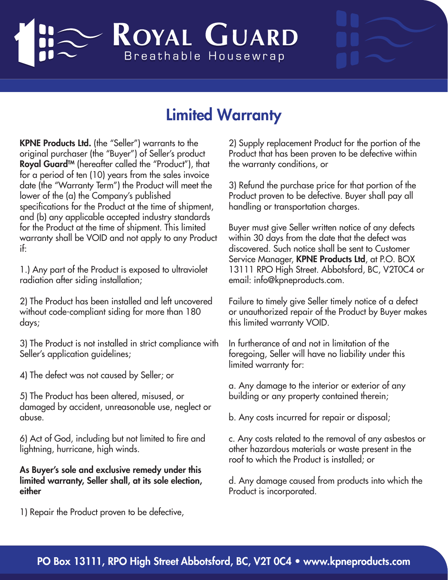## ROYAL GUARD Breathable Housewrap

## Limited Warranty

KPNE Products Ltd. (the "Seller") warrants to the original purchaser (the "Buyer") of Seller's product Royal Guard™ (hereafter called the "Product"), that for a period of ten (10) years from the sales invoice date (the "Warranty Term") the Product will meet the lower of the (a) the Company's published specifications for the Product at the time of shipment, and (b) any applicable accepted industry standards for the Product at the time of shipment. This limited warranty shall be VOID and not apply to any Product if:

1.) Any part of the Product is exposed to ultraviolet radiation after siding installation;

2) The Product has been installed and left uncovered without code-compliant siding for more than 180 days;

3) The Product is not installed in strict compliance with Seller's application guidelines;

4) The defect was not caused by Seller; or

5) The Product has been altered, misused, or damaged by accident, unreasonable use, neglect or abuse.

6) Act of God, including but not limited to fire and lightning, hurricane, high winds.

As Buyer's sole and exclusive remedy under this limited warranty, Seller shall, at its sole election, either

1) Repair the Product proven to be defective,

2) Supply replacement Product for the portion of the Product that has been proven to be defective within the warranty conditions, or

3) Refund the purchase price for that portion of the Product proven to be defective. Buyer shall pay all handling or transportation charges.

Buyer must give Seller written notice of any defects within 30 days from the date that the defect was discovered. Such notice shall be sent to Customer Service Manager, KPNE Products Ltd, at P.O. BOX 13111 RPO High Street. Abbotsford, BC, V2T0C4 or email: info@kpneproducts.com.

Failure to timely give Seller timely notice of a defect or unauthorized repair of the Product by Buyer makes this limited warranty VOID.

In furtherance of and not in limitation of the foregoing, Seller will have no liability under this limited warranty for:

a. Any damage to the interior or exterior of any building or any property contained therein;

b. Any costs incurred for repair or disposal;

c. Any costs related to the removal of any asbestos or other hazardous materials or waste present in the roof to which the Product is installed; or

d. Any damage caused from products into which the Product is incorporated.